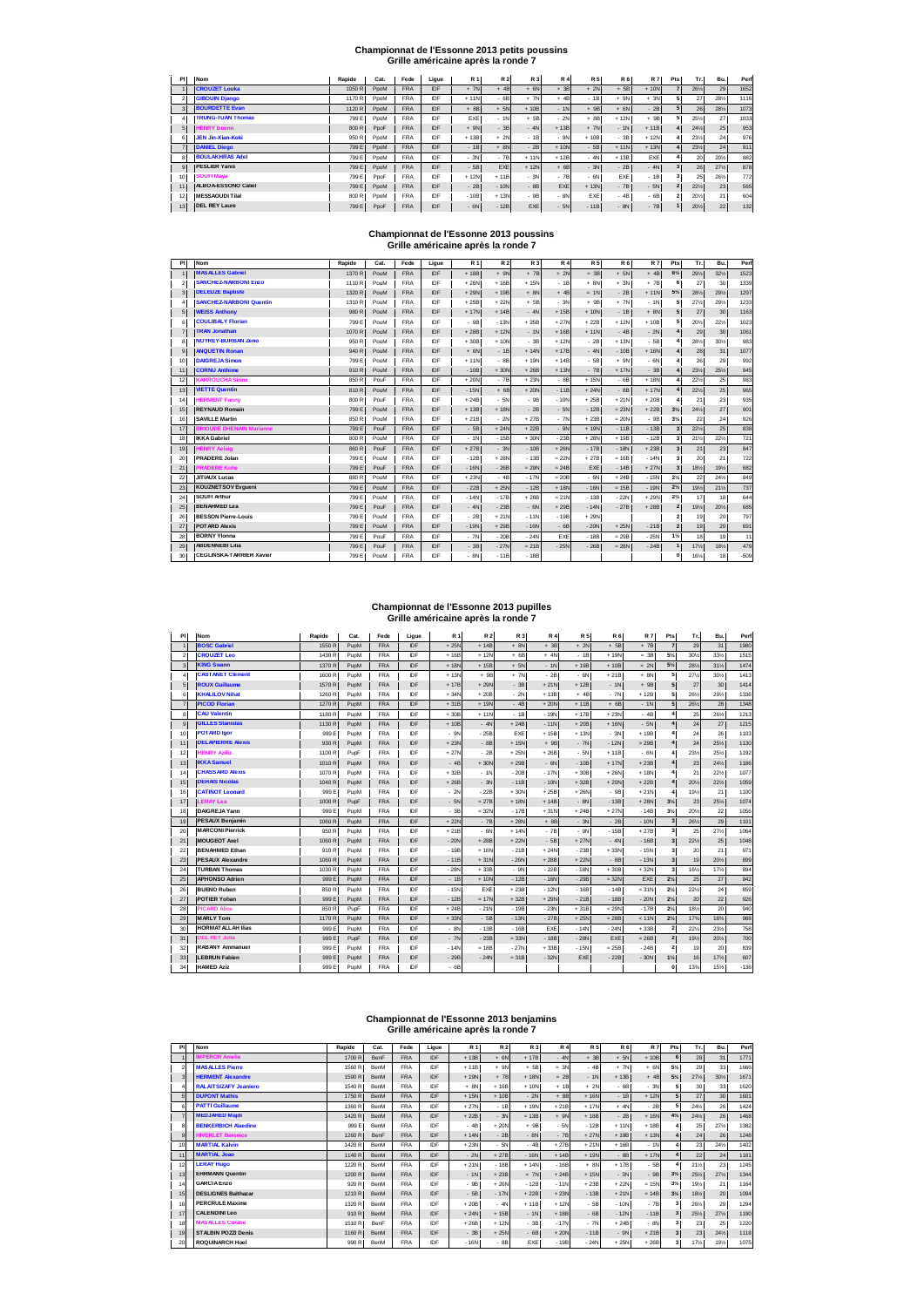### **Championnat de l'Essonne 2013 petits poussins**

| Grille américaine après la ronde 7 |  |
|------------------------------------|--|
|------------------------------------|--|

| PI |              | Nom                      | Rapide | Cat. | Fede       | Ligue | <b>R1</b>  | R 2    | R 3        | <b>R4</b> | <b>R5</b>       | <b>R6</b> | <b>R7</b> | Pts | Tr.    | Bu. | Perf |
|----|--------------|--------------------------|--------|------|------------|-------|------------|--------|------------|-----------|-----------------|-----------|-----------|-----|--------|-----|------|
|    |              | <b>CROUZET Louka</b>     | 1050 R | PpoM | <b>FRA</b> | IDF   | $+ 7N$     | $+4B$  | $+ 6N$     | $+3B$     | $+ 2N$          | $+5B$     | $+10N$    |     | 26%    | 29  | 1652 |
|    |              | <b>GIBOUIN Diango</b>    | 1170 R | PpoM | <b>FRA</b> | IDF   | $+11N$     | $-6B$  | $+ 7N$     | $+4B$     | $-1B$           | $+ 9N$    | $+3N$     |     | 27     | 28% | 1116 |
|    |              | <b>BOURDETTE Evan</b>    | 1120 R | PpoM | <b>FRA</b> | IDF   | $+8B$      | $+ 5N$ | $+10B$     | $-1N$     | 9B<br>$\ddot{}$ | $+ 6N$    | $-2B$     |     | 26     | 28% | 1073 |
|    |              | <b>TRUNG-TUAN Thomas</b> | 799 E  | PpoM | <b>FRA</b> | IDF   | <b>FXF</b> | $-1N$  | $+5B$      | $-2N$     | $+8B$           | $+12N$    | $+9B$     |     | 25%    | 27  | 1033 |
|    | 5            | <b>HENRY Izoenn</b>      | 800 R  | PpoF | <b>FRA</b> | IDF   | $+ 9N$     | $-38$  | $-4N$      | $+13B$    | $+ 7N$          | $-1N$     | $+11B$    |     | 24%    | 25  | 953  |
| 6  |              | <b>JEN Jin-Xian-Koki</b> | 950 R  | PpoM | <b>FRA</b> | IDF   | $+13B$     | $+2N$  | $-1R$      | $-9N$     | $+10B$          | $-3B$     | $+12N$    |     | 23%    | 24  | 976  |
|    |              | <b>DANIEL Diego</b>      | 799 E  | PpoM | <b>FRA</b> | IDF   | $-1B$      | $+ 8N$ | $-2B$      | $+10N$    | $-5B$           | $+11N$    | $+13N$    |     | 231/2  | 24  | 911  |
|    |              | <b>BOULAKHRAS Adel</b>   | 799 E  | PpoM | <b>FRA</b> | IDF   | $-3N$      | $-7B$  | $+11N$     | $+12B$    | $-4N$           | $+13B$    | EXE       |     | 20     | 20% | 882  |
|    | $\mathbf{Q}$ | <b>IPESLIER Yanis</b>    | 799 E  | PpoM | <b>FRA</b> | IDF   | $-5B$      | EXE    | $+12N$     | $+6B$     | $-3N$           | $-2B$     | $-4N$     |     | 26     | 27% | 878  |
| 10 |              | <b>SOUFI Maya</b>        | 799 E  | PpoF | <b>FRA</b> | IDF   | $+12N$     | $+11B$ | $-3N$      | $-7B$     | $-6N$           | EXE       | $-1B$     |     | 25     | 26% | 772  |
| 11 |              | ALBOA-ESSONO Caliel      | 799 E  | PpoM | <b>FRA</b> | IDF   | $-2B$      | $-10N$ | $-8B$      | EXE       | $+13N$          | $-7B$     | $-5N$     |     | $22\%$ | 23  | 565  |
| 12 |              | <b>MESSAOUDITilal</b>    | 800 R  | PpoM | <b>FRA</b> | IDF   | $-10B$     | $+13N$ | $-9B$      | $-8N$     | EXE             | $-4B$     | $-6B$     |     | 20%    | 21  | 604  |
| 13 |              | <b>IDEL REY Laure</b>    | 799 E  | PpoF | <b>FRA</b> | IDF   | $-6N$      | $-12B$ | <b>EXE</b> | $-5N$     | $-11B$          | $-8N$     | $-7B$     |     | 20%    | 22  | 132  |

### **Championnat de l'Essonne 2013 poussins Grille américaine après la ronde 7**

| PI             | Nom                             | Rapide | Cat. | Fede       | Ligue | <b>R1</b> | <b>R2</b> | R 3     | <b>R4</b> | <b>R5</b> | <b>R6</b> | <b>R7</b> | Pts                     | Tr. | Bu. | Perf   |
|----------------|---------------------------------|--------|------|------------|-------|-----------|-----------|---------|-----------|-----------|-----------|-----------|-------------------------|-----|-----|--------|
|                | <b>MASALLES Gabriel</b>         | 1370 R | PouM | <b>FRA</b> | IDF   | $+18B$    | $+ 9N$    | $+7B$   | $+2N$     | $= 3B$    | $+ 5N$    | $+4B$     | $6\frac{1}{2}$          | 29% | 32% | 1523   |
| $\overline{2}$ | <b>SANCHEZ-NARBONI Enzo</b>     | 1110 R | PouM | <b>FRA</b> | IDF   | $+26N$    | $+16B$    | $+15N$  | $-1B$     | $+ 8N$    | $+ 3N$    | $+7B$     | 6                       | 27  | 30  | 1339   |
| 3              | <b>DELEUZE Baptiste</b>         | 1320 R | PouM | <b>FRA</b> | IDF   | $+29N$    | $+19B$    | $+ 8N$  | $+4B$     | $= 1N$    | $-2B$     | $+11N$    | $5\frac{1}{2}$          | 28% | 29% | 1297   |
| 4              | <b>SANCHEZ-NARBONI Quentin</b>  | 1310 R | PouM | <b>FRA</b> | IDF   | $+25B$    | $+22N$    | $+5B$   | $-3N$     | $+9B$     | $+ 7N$    | $-1N$     | 5                       | 27% | 29% | 1233   |
| 5              | <b>WEISS Anthony</b>            | 980 R  | PouM | <b>FRA</b> | IDF   | $+17N$    | $+14B$    | $-4N$   | $+15B$    | $+10N$    | $-1B$     | $+ 8N$    | 5                       | 27  | 30  | 1163   |
| 6              | <b>COULIBALY Florian</b>        | 799 E  | PouM | <b>FRA</b> | IDF   | - 9B      | $-13N$    | $+25B$  | $+27N$    | $+22B$    | $+12N$    | $+10B$    | 5                       | 20% | 22% | 1023   |
| $\overline{7}$ | <b>TRAN Jonathan</b>            | 1070 R | PouM | <b>FRA</b> | IDF   | $+28B$    | $+12N$    | $-1N$   | $+16B$    | $+11N$    | $-4B$     | $-2N$     |                         | 29  | 30  | 1061   |
| 8              | <b>NOYREY-BURBAN Zeno</b>       | 950 R  | PouM | <b>FRA</b> | IDF   | $+30B$    | $+10N$    | $-3B$   | $+12N$    | $-2B$     | $+13N$    | - 5B      |                         | 28% | 30% | 983    |
| $\overline{9}$ | <b>ANQUETIN Ronan</b>           | 940 R  | PouM | <b>FRA</b> | IDF   | $+ 6N$    | $-1B$     | $+14N$  | $+17B$    | $-4N$     | $-10B$    | $+16N$    |                         | 28  | 31  | 1077   |
| 10             | <b>DAIGREJA Simon</b>           | 799 E  | PouM | <b>FRA</b> | IDF   | $+11N$    | $-88$     | $+19N$  | $+14B$    | $-5B$     | $+ 9N$    | $-6N$     |                         | 26  | 29  | 992    |
| 11             | <b>CORNU Anthime</b>            | 910 R  | PouM | <b>FRA</b> | IDF   | $-10B$    | $+30N$    | $+26B$  | $+13N$    | $-7B$     | $+17N$    | $-3B$     |                         | 23% | 25% | 945    |
| 12             | <b>KARROUCHA Sirine</b>         | 850 R  | PouF | <b>FRA</b> | IDF   | $+20N$    | $-7B$     | $+23N$  | $-8B$     | $+15N$    | $-6B$     | $+18N$    |                         | 22% | 25  | 983    |
| 13             | <b>VIETTE Quentin</b>           | 810 R  | PouM | <b>FRA</b> | IDF   | $-15N$    | $+6B$     | $+20N$  | $-11B$    | $+24N$    | $-8B$     | $+17N$    |                         | 22% | 25  | 965    |
| 14             | <b>HERMENT Fanny</b>            | 800 R  | PouF | <b>FRA</b> | IDF   | $+24B$    | $-5N$     | $-9B$   | $-10N$    | $+25B$    | $+21N$    | $+20B$    |                         | 21  | 23  | 935    |
| 15             | <b>REYNAUD Romain</b>           | 799 E  | PouM | <b>FRA</b> | IDF   | $+13B$    | $+18N$    | $-2B$   | $-5N$     | $-12B$    | $= 23N$   | $+22B$    | $3\frac{1}{2}$          | 24% | 27  | 901    |
| 16             | <b>SAVILLE Martin</b>           | 850 R  | PouM | <b>FRA</b> | IDF   | $+21B$    | $-2N$     | $+27B$  | $-7N$     | $+23B$    | $= 20N$   | $-9B$     | $3\frac{1}{4}$          | 22  | 24  | 926    |
| 17             | <b>BRIOUDE DHENAIN Marianne</b> | 799 E  | PouF | <b>FRA</b> | IDF   | $-5B$     | $+24N$    | $+22B$  | $-9N$     | $+19N$    | $-11B$    | $-13B$    |                         | 22% | 25  | 838    |
| 18             | <b>IKKA Gabriel</b>             | 800 R  | PouM | <b>FRA</b> | IDF   | $-1N$     | $-15B$    | $+30N$  | $-23B$    | $+28N$    | $+19B$    | $-12B$    |                         | 21% | 22% | 721    |
| 19             | <b>HENRY Aelaig</b>             | 860 R  | PouF | <b>FRA</b> | IDF   | $+27B$    | $-3N$     | $-10B$  | $+26N$    | $-17B$    | $-18N$    | $+23B$    | $\overline{\mathbf{3}}$ | 21  | 23  | 847    |
| 20             | <b>PRADERE Jolan</b>            | 799 E  | PouM | <b>FRA</b> | IDF   | $-12B$    | $+28N$    | $-13B$  | $= 22N$   | $+27B$    | $= 16B$   | $-14N$    | $\overline{\mathbf{3}}$ | 20  | 21  | 722    |
| 21             | <b>PRADERE Kohe</b>             | 799 E  | PouF | <b>FRA</b> | IDF   | $-16N$    | $-26B$    | $= 29N$ | $= 24B$   | EXE       | $-14B$    | $+27N$    | $\overline{\mathbf{3}}$ | 18% | 19% | 682    |
| 22             | <b>JITIAUX Lucas</b>            | 880 R  | PouM | <b>FRA</b> | IDF   | $+23N$    | $-48$     | $-17N$  | $= 20B$   | $-6N$     | $+24B$    | $-15N$    | $2\frac{1}{2}$          | 22  | 24% | 849    |
| 23             | <b>KOUZNET SOV Evgueni</b>      | 799 E  | PouM | <b>FRA</b> | IDF   | $-22B$    | $+25N$    | $-12B$  | $+18N$    | $-16N$    | $= 15B$   | $-19N$    | $2\frac{1}{4}$          | 19% | 21% | 737    |
| 24             | <b>SOUFI Arthur</b>             | 799 E  | PouM | <b>FRA</b> | IDF   | $-14N$    | $-17B$    | $+28B$  | $= 21N$   | $-13B$    | $-22N$    | $+29N$    | $2\frac{1}{2}$          | 17  | 18  | 644    |
| 25             | <b>BENAHMED Lea</b>             | 799 E  | PouF | <b>FRA</b> | IDF   | $-4N$     | $-23B$    | $-6N$   | $+29B$    | $-14N$    | $-27B$    | $+28B$    | $\overline{2}$          | 19% | 20% | 685    |
| 26             | <b>BESSON Pierre-Louis</b>      | 799 E  | PouM | <b>FRA</b> | IDF   | $-2B$     | $+21N$    | $-11N$  | $-19B$    | $+29N$    |           |           | $\overline{\mathbf{2}}$ | 19  | 20  | 797    |
| 27             | <b>POTARD Alexis</b>            | 799 E  | PouM | <b>FRA</b> | IDF   | $-19N$    | $+29B$    | $-16N$  | $-6B$     | $-20N$    | $+25N$    | $-21B$    | $\overline{\mathbf{z}}$ | 19  | 20  | 691    |
| 28             | <b>BORNY Ylonna</b>             | 799 E  | PouF | <b>FRA</b> | IDF   | $-7N$     | $-20B$    | $-24N$  | EXE       | $-18B$    | $= 29B$   | $-25N$    | $1\%$                   | 18  | 19  | 11     |
| 29             | <b>ABDENNEBI Lilia</b>          | 799 E  | PouF | <b>FRA</b> | IDF   | $-3B$     | $-27N$    | $= 21B$ | $-25N$    | $-26B$    | $= 28N$   | $-24B$    |                         | 17% | 18% | 479    |
| 30             | <b>CEGLINSKA-TARRIER Xavier</b> | 799 E  | PouM | <b>FRA</b> | IDF   | $-8N$     | $-11B$    | $-18B$  |           |           |           |           | $\bf{0}$                | 16% | 18  | $-509$ |

# **Championnat de l'Essonne 2013 pupilles Grille américaine après la ronde 7**

| PI | Nom                      | Rapide | Cat. | Fede       | Ligue      | <b>R1</b> | <b>R2</b> | R 3        | <b>R4</b> | <b>R5</b> | <b>R6</b> | <b>R7</b> | Pts                     | Tr.             | Bu. | Perf   |
|----|--------------------------|--------|------|------------|------------|-----------|-----------|------------|-----------|-----------|-----------|-----------|-------------------------|-----------------|-----|--------|
|    | <b>BOSC Gabriel</b>      | 1550 R | PupM | <b>FRA</b> | <b>IDE</b> | $+25N$    | $+14B$    | $+ 8N$     | $+3B$     | $+2N$     | $+5B$     | $+7B$     | $\overline{7}$          | 29              | 31  | 1980   |
| 2  | <b>CROUZET Leo</b>       | 1430 R | PupM | <b>FRA</b> | IDE        | $+16B$    | $+12N$    | $+6B$      | $+4$      | $-1B$     | $+19N$    | $= 30$    | 5%                      | 30%             | 33% | 1515   |
|    | <b>KING Swann</b>        | 1370 R | PupM | <b>FRA</b> | IDE        | $+18N$    | $+15B$    | $+ 5N$     | $-1N$     | $+19B$    | $+10B$    | $= 2N$    | $5\%$                   | 28%             | 31% | 1474   |
|    | <b>CASTANET Clement</b>  | 1600 R | PupM | <b>FRA</b> | IDF        | $+13N$    | $+9B$     | $+ 7N$     | $-2B$     | $-6N$     | $+21B$    | $+ 8N$    | 5                       | 27%             | 30% | 1413   |
|    | <b>ROUX Guillaume</b>    | 1570 R | PupM | <b>FRA</b> | IDE        | $+17B$    | $+29N$    | $-3B$      | $+21N$    | $+12B$    | $-1N$     | $+9B$     | 5                       | 27              | 30  | 1414   |
| 6  | <b>KHALILOV Nihat</b>    | 1260 R | PupM | <b>FRA</b> | IDF        | $+34N$    | $+20B$    | $-2N$      | $+13B$    | $+4B$     | $-7N$     | $+12B$    | 5                       | 26%             | 29% | 1336   |
| 7  | <b>PICOD Florian</b>     | 1270 R | PupM | <b>FRA</b> | IDF        | $+31B$    | $+19N$    | $-4B$      | $+20N$    | $+11B$    | $+6B$     | $-1N$     | 5                       | 26%             | 28  | 1348   |
|    | <b>CAU Valentin</b>      | 1180 R | PupM | <b>FRA</b> | IDF        | $+30B$    | $+11N$    | $-1B$      | $-19N$    | $+17B$    | $+23N$    | $-4B$     |                         | 25              | 26% | 1213   |
|    | <b>GILLES Stanislas</b>  | 1130 R | PupM | <b>FRA</b> | IDF        | $+10B$    | $-4N$     | $+24B$     | $-11N$    | $+20B$    | $+16N$    | $-5N$     |                         | 24              | 27  | 1215   |
| 10 | <b>POTARD laor</b>       | 999 E  | PupM | <b>FRA</b> | IDE        | $-9N$     | $-25B$    | <b>FXF</b> | $+15B$    | $+13N$    | $-3N$     | $+19B$    |                         | 24              | 26  | 1103   |
| 11 | <b>DELAPIERRE Alexis</b> | 930 R  | PupM | <b>FRA</b> | IDF        | $+23N$    | $-8B$     | $+15N$     | $+9B$     | $-7N$     | $-12N$    | >29B      |                         | $\overline{24}$ | 25% | 1130   |
| 12 | <b>HENRY Aziliz</b>      | 1100 R | PupF | <b>FRA</b> | IDF        | $+27N$    | $-2B$     | $+25N$     | $+26B$    | $-5N$     | $+11B$    | $-6N$     |                         | 23%             | 25% | 1192   |
| 13 | <b>IKKA Samuel</b>       | 1010 R | PupM | <b>FRA</b> | IDF        | $-4B$     | $+30N$    | $+29B$     | $-6N$     | $-10B$    | $+17N$    | $+23B$    | 4                       | 23              | 24% | 1186   |
| 14 | <b>CHASSARD Alexis</b>   | 1070 R | PupM | <b>FRA</b> | IDE        | $+32B$    | $-1N$     | $-20B$     | $-17N$    | $+30B$    | $+26N$    | $+18N$    |                         | 21              | 22% | 1077   |
| 15 | <b>IDEHAIS Nicolas</b>   | 1040 R | PupM | <b>FRA</b> | IDF        | $+26B$    | $-3N$     | $-11B$     | $-10N$    | $+32B$    | $+20N$    | $+22B$    | $\overline{a}$          | 20%             | 22% | 1059   |
| 16 | <b>CATINOT Leonard</b>   | 999 E  | PupM | <b>FRA</b> | IDE        | $-2N$     | $-22B$    | $+30N$     | $+25B$    | $+26N$    | $-9B$     | $+21N$    | 4                       | 19%             | 21  | 1100   |
| 17 | <b>LERAY Lea</b>         | 1000 R | PupF | <b>FRA</b> | IDE        | $-5N$     | $= 27B$   | $+18N$     | $+14B$    | $-8N$     | $-13B$    | $+28N$    | 3%                      | 23              | 25% | 1074   |
| 18 | DAIGREJA Yann            | 999 E  | PupM | <b>FRA</b> | IDE        | $-38$     | $= 32N$   | $-17B$     | $+31N$    | $+24B$    | $+27N$    | $-14B$    | $3\%$                   | 20%             | 22  | 1056   |
| 19 | <b>PESAUX Benjamin</b>   | 1060 R | PupM | <b>FRA</b> | IDF        | $+22N$    | $-7B$     | $+28N$     | $+8B$     | $-3N$     | $-2B$     | $-10N$    | $\overline{\mathbf{3}}$ | 26%             | 29  | 1101   |
| 20 | <b>MARCONI Pierrick</b>  | 950 R  | PupM | <b>FRA</b> | IDF        | $+21B$    | $-6N$     | $+14N$     | $-7B$     | $-9N$     | $-15B$    | $+27B$    | 3                       | 25              | 27% | 1064   |
| 21 | <b>MOUGEOT Axel</b>      | 1060 R | PupM | <b>FRA</b> | IDE        | $-20N$    | $+28B$    | $+22N$     | $-5B$     | $+27N$    | $-4N$     | $-16B$    | $\overline{\mathbf{3}}$ | 22%             | 25  | 1048   |
| 22 | <b>BENAHMED Ethan</b>    | 910 R  | PupM | <b>FRA</b> | IDF        | $-19B$    | $+16N$    | $-21B$     | $+24N$    | $-23B$    | $+33N$    | $-15N$    | $\overline{\mathbf{3}}$ | 20              | 21  | 971    |
| 23 | <b>PESAUX Alexandre</b>  | 1060 R | PupM | <b>FRA</b> | IDF        | $-11B$    | $+31N$    | $-26N$     | $+28B$    | $+22N$    | $-8B$     | $-13N$    | $\overline{3}$          | 19              | 20% | 899    |
| 24 | <b>TURBAN Thomas</b>     | 1030 R | PupM | <b>FRA</b> | IDE        | $-28N$    | $+33B$    | - 9N       | $-22B$    | $-18N$    | $+30B$    | $+32N$    | 3                       | 16%             | 17% | 894    |
| 25 | <b>APHONSO Adrien</b>    | 999 E  | PupM | <b>FRA</b> | IDF        | $-1B$     | $+10N$    | $-12B$     | $-16N$    | $-29B$    | $= 32N$   | EXE       | $2\frac{1}{2}$          | 25              | 27  | 942    |
| 26 | <b>BUENO Ruben</b>       | 850 R  | PupM | <b>FRA</b> | IDE        | $-15N$    | EXE       | $+23B$     | $-12h$    | $-16B$    | $-14B$    | $= 31N$   | $2\%$                   | 22%             | 24  | 859    |
| 27 | <b>POTIER Yohan</b>      | 999 E  | PupM | <b>FRA</b> | IDF        | $-12B$    | $= 17N$   | $+32B$     | $+29$     | $-21B$    | $-18B$    | $-20N$    | $2\frac{1}{2}$          | 20              | 22  | 926    |
| 28 | <b>PICARD Alice</b>      | 850 R  | PupF | FRA        | IDE        | $+24B$    | $-21N$    | $-19B$     | $-23N$    | $+31B$    | $= 29N$   | $-17B$    | $2\%$                   | 18%             | 20  | 940    |
| 29 | <b>MARLY Tom</b>         | 1170 R | PupM | <b>FRA</b> | IDF        | $+33N$    | $-5B$     | $-13N$     | $-27B$    | $+25N$    | $= 28B$   | < 11N     | $2\frac{1}{2}$          | 17%             | 18% | 988    |
| 30 | <b>HORMATALLAH Ilias</b> | 999 E  | PupM | <b>FRA</b> | IDE        | $-8N$     | $-13B$    | $-16B$     | EXE       | $-14N$    | $-24N$    | $+33B$    | $\overline{\mathbf{2}}$ | 22%             | 23% | 758    |
| 31 | <b>DEL REY Julia</b>     | 999 E  | PupF | <b>FRA</b> | IDF        | $-7N$     | $-23B$    | $= 33N$    | $-18B$    | $-28N$    | EXE       | $= 26B$   | $\overline{\mathbf{2}}$ | 19%             | 20% | 700    |
| 32 | <b>RABANY Ammanuel</b>   | 999 E  | PupM | <b>FRA</b> | IDF        | $-14N$    | $= 18B$   | $-27N$     | $+33B$    | $-15N$    | $= 25B$   | $-24B$    | $\overline{\mathbf{2}}$ | 19              | 20  | 839    |
| 33 | <b>LEBRUN Fabien</b>     | 999 E  | PupM | <b>FRA</b> | IDF        | $-29B$    | $-24N$    | $= 31B$    | $-32$     | EXE       | $-22B$    | $-30N$    | $1\%$                   | 16              | 17% | 607    |
| 34 | <b>HAMED Aziz</b>        | 999 E  | PupM | <b>FRA</b> | IDE        | $-68$     |           |            |           |           |           |           | $\Omega$                | 13%             | 15% | $-136$ |

### **Championnat de l'Essonne 2013 benjamins Grille américaine après la ronde 7**

| PI           | Nom                          | Rapide           | Cat.        | Fede       | Lique | <b>R1</b> | <b>R2</b> | R 3     | <b>R4</b> | <b>R5</b> | <b>R6</b> | <b>R7</b> | Pts            | Tr. | Bu. | Perf |
|--------------|------------------------------|------------------|-------------|------------|-------|-----------|-----------|---------|-----------|-----------|-----------|-----------|----------------|-----|-----|------|
|              | <b>MPEROR Amelie</b>         | 1700 R           | <b>BenF</b> | <b>FRA</b> | IDF   | $+13B$    | $+$ $6N$  | $+17B$  | $-4N$     | $+3B$     | $+ 5N$    | $+10B$    | 6              | 28  | 31  | 1771 |
|              | <b>MASALLES Pierre</b>       | 1560 R           | <b>BenM</b> | <b>FRA</b> | IDF   | $+11B$    | $+ 9N$    | $+5B$   | $= 3N$    | $-4B$     | $+ 7N$    | $+ 6N$    | 5%             | 29  | 33  | 1666 |
| 3            | <b>HERMENT Alexandre</b>     | 1590 R           | BenM        | <b>FRA</b> | IDF   | $+19N$    | $+ 7B$    | $+18N$  | $= 2B$    | $-1N$     | $+13B$    | $+4B$     | $5\%$          | 27% | 30% | 1671 |
|              | <b>RALAITSIZAFY Jeaniero</b> | 1540 R           | <b>BenM</b> | <b>FRA</b> | IDF   | $+8N$     | $+16B$    | $+10N$  | $+1B$     | $+2N$     | $-6B$     | $-3N$     |                | 30  | 33  | 1620 |
|              | <b>DUPONT Mathis</b>         | 1750 R           | BenM        | <b>FRA</b> | IDF   | $+15N$    | $+10B$    | $-2N$   | $+8B$     | $+16N$    | $-1B$     | $+12N$    |                | 27  | 30  | 1601 |
| f            | <b>PATTI Guillaume</b>       | 1360 R           | BenM        | <b>FRA</b> | IDF   | $+27N$    | $-1B$     | $+19N$  | $+21B$    | $+17N$    | $+ 4N$    | $-2B$     | в              | 24% | 26  | 1424 |
|              | <b>MEDJAHED Maidi</b>        | 1420 R           | <b>BenM</b> | <b>FRA</b> | IDF   | $+22B$    | $-3N$     | $= 13B$ | $+ 9N$    | $+18B$    | $-2B$     | $+16N$    | $4\frac{1}{2}$ | 24% | 26  | 1468 |
|              | <b>BENKERBICH Alaedine</b>   | 999 E            | BenM        | <b>FRA</b> | IDF   | $-4B$     | $+20N$    | $+9B$   | $-5N$     | $-12B$    | $+11N$    | $+18B$    |                | 25  | 27% | 1382 |
| $\mathbf{Q}$ | <b>HIVERLET Berenice</b>     | 1260 R           | BenF        | <b>FRA</b> | IDF   | $+14N$    | $-2B$     | $-8N$   | $-7B$     | $+27N$    | $+19B$    | $+13N$    |                | 24  | 26  | 1248 |
| 10           | <b>MARTIAL Kalvin</b>        | 1420 R           | BenM        | <b>FRA</b> | IDF   | $+23N$    | $-5N$     | $-4B$   | $+27B$    | $+21N$    | $+16B$    | $-1N$     |                | 23  | 24% | 1402 |
| 11           | <b>MARTIAL Joao</b>          | 1140 R           | BenM        | <b>FRA</b> | IDF   | $-2N$     | $+27B$    | $-16N$  | $+14B$    | $+19N$    | $-8B$     | $+17N$    |                | 22  | 24  | 1181 |
| 12           | <b>LERAY Hugo</b>            | 1220 R           | BenM        | <b>FRA</b> | IDF   | $+21N$    | $-18B$    | $+14N$  | $-16B$    | $+ 8N$    | $+17B$    | $-5B$     |                | 21% | 23  | 1245 |
| 13           | <b>EHRMANN Quentin</b>       | 1200 R           | BenM        | <b>FRA</b> | IDF   | $-1N$     | $+23B$    | $= 7N$  | $+24B$    | $+15N$    | $-3N$     | $-9B$     | $3\frac{1}{2}$ | 25% | 27% | 1344 |
|              | <b>GARCIA Enzo</b>           | 920 R            | BenM        | <b>FRA</b> | IDF   | $-9B$     | $+26N$    | $-12B$  | $-11N$    | $+23B$    | $+22N$    | $= 15N$   | $3\%$          | 19% | 21  | 1164 |
| 15           | <b>DESLIGNES Balthazar</b>   | 1210 R           | <b>BenM</b> | <b>FRA</b> | IDF   | $-5B$     | $-17N$    | $+22B$  | $+23N$    | $-13B$    | $+21N$    | $= 14B$   | $3\frac{1}{2}$ | 18% | 20  | 1094 |
| 16           | <b>PERCRULE Maxime</b>       | 1320 R           | BenM        | <b>FRA</b> | IDF   | $+20B$    | $-4N$     | $+11B$  | $+12N$    | $-5B$     | $-10N$    | $-7B$     |                | 26% | 29  | 1294 |
| 17           | <b>CALENDINI Leo</b>         | 910 <sub>R</sub> | BenM        | <b>FRA</b> | IDF   | $+24N$    | $+15B$    | $-1N$   | $+18B$    | $-6B$     | $-12N$    | $-11B$    | $\mathbf{3}$   | 25% | 27% | 1190 |
| 18           | <b>MASALLES Coralie</b>      | 1510 R           | <b>BenF</b> | <b>FRA</b> | IDF   | $+26B$    | $+12N$    | $-38$   | $-17N$    | $-7N$     | $+24B$    | $-8N$     |                | 23  | 25  | 1220 |
| 19           | <b>STALBIN POZZI Denis</b>   | 1160 R           | BenM        | <b>FRA</b> | IDF   | $-3B$     | $+25N$    | $-6B$   | $+20N$    | $-11B$    | $-9N$     | $+21B$    | 3              | 23  | 24% | 1118 |
| 20           | <b>ROQUINARCH Hoel</b>       | 990 R            | BenM        | <b>FRA</b> | IDF   | $-16N$    | $-88$     | EXE     | $-19B$    | $-24N$    | $+25N$    | $+26B$    |                | 17% | 19% | 1075 |